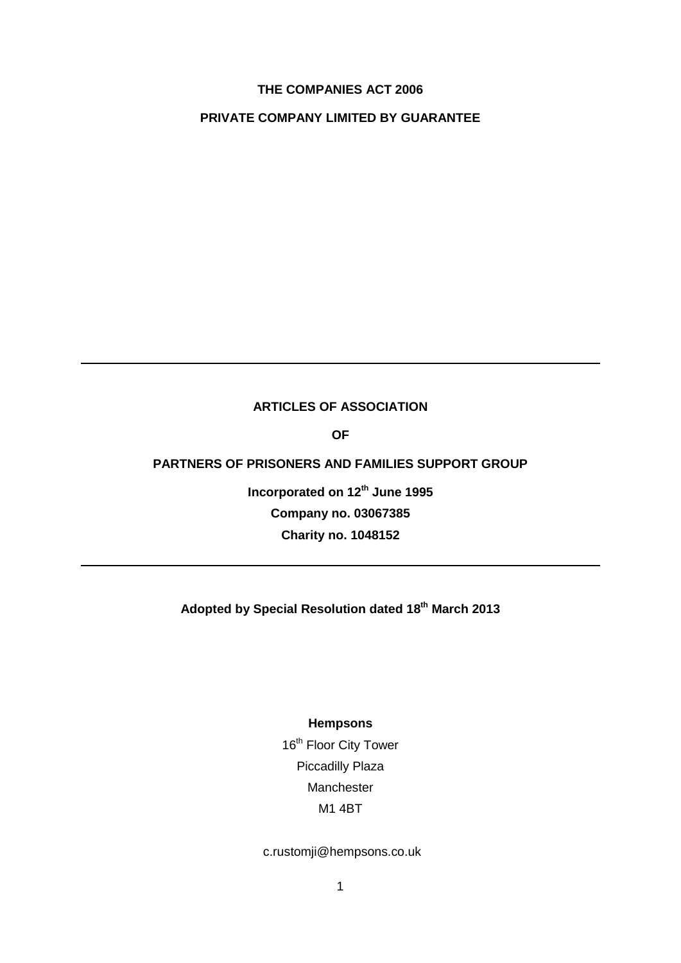# **THE COMPANIES ACT 2006**

# **PRIVATE COMPANY LIMITED BY GUARANTEE**

# **ARTICLES OF ASSOCIATION**

**OF**

## **PARTNERS OF PRISONERS AND FAMILIES SUPPORT GROUP**

**Incorporated on 12th June 1995 Company no. 03067385 Charity no. 1048152**

## **Adopted by Special Resolution dated 18 th March 2013**

# **Hempsons**

16<sup>th</sup> Floor City Tower Piccadilly Plaza Manchester M1 4BT

## c.rustomji@hempsons.co.uk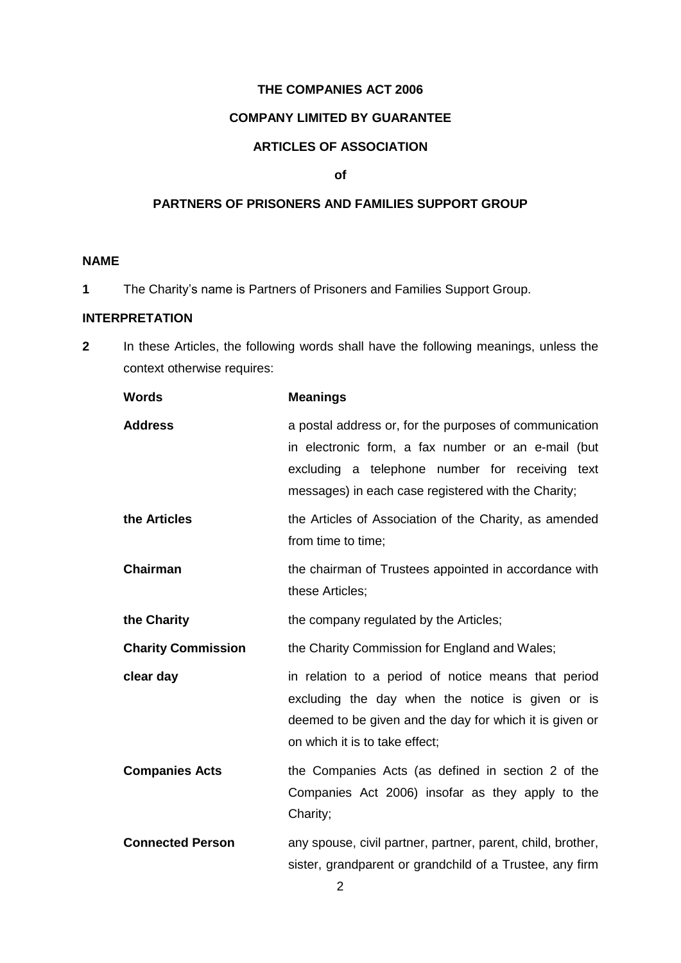## **THE COMPANIES ACT 2006**

## **COMPANY LIMITED BY GUARANTEE**

# **ARTICLES OF ASSOCIATION**

# **of**

# **PARTNERS OF PRISONERS AND FAMILIES SUPPORT GROUP**

# **NAME**

**1** The Charity's name is Partners of Prisoners and Families Support Group.

# **INTERPRETATION**

**2** In these Articles, the following words shall have the following meanings, unless the context otherwise requires:

| <b>Words</b>              | <b>Meanings</b>                                                                                                                                                                                                        |
|---------------------------|------------------------------------------------------------------------------------------------------------------------------------------------------------------------------------------------------------------------|
| <b>Address</b>            | a postal address or, for the purposes of communication<br>in electronic form, a fax number or an e-mail (but<br>excluding a telephone number for receiving text<br>messages) in each case registered with the Charity; |
| the Articles              | the Articles of Association of the Charity, as amended<br>from time to time;                                                                                                                                           |
| Chairman                  | the chairman of Trustees appointed in accordance with<br>these Articles;                                                                                                                                               |
| the Charity               | the company regulated by the Articles;                                                                                                                                                                                 |
| <b>Charity Commission</b> | the Charity Commission for England and Wales;                                                                                                                                                                          |
| clear day                 | in relation to a period of notice means that period<br>excluding the day when the notice is given or is<br>deemed to be given and the day for which it is given or<br>on which it is to take effect;                   |
| <b>Companies Acts</b>     | the Companies Acts (as defined in section 2 of the<br>Companies Act 2006) insofar as they apply to the<br>Charity;                                                                                                     |
| <b>Connected Person</b>   | any spouse, civil partner, partner, parent, child, brother,<br>sister, grandparent or grandchild of a Trustee, any firm                                                                                                |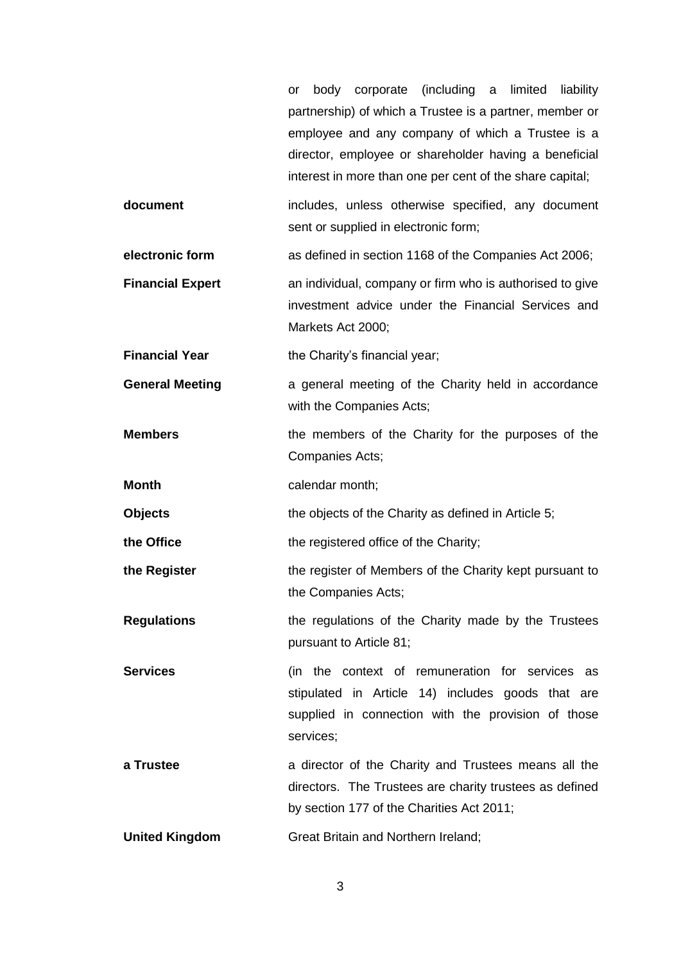or body corporate (including a limited liability partnership) of which a Trustee is a partner, member or employee and any company of which a Trustee is a director, employee or shareholder having a beneficial interest in more than one per cent of the share capital;

- **document** includes, unless otherwise specified, any document sent or supplied in electronic form;
- **electronic form** as defined in section 1168 of the Companies Act 2006;
- **Financial Expert** an individual, company or firm who is authorised to give investment advice under the Financial Services and Markets Act 2000;

**Financial Year the Charity's financial year;** 

- **General Meeting a** general meeting of the Charity held in accordance with the Companies Acts;
- **Members** the members of the Charity for the purposes of the Companies Acts;
- **Month Calendar month:**
- **Objects** the objects of the Charity as defined in Article [5;](#page-4-0)
- **the Office the registered office of the Charity;**
- **the Register** the register of Members of the Charity kept pursuant to the Companies Acts;
- **Regulations** the regulations of the Charity made by the Trustees pursuant to Article [81;](#page-17-0)
- **Services Services Example 1** (in the context of remuneration for services as stipulated in Article [14\)](#page-6-0) includes goods that are supplied in connection with the provision of those services;
- **a Trustee** a director of the Charity and Trustees means all the directors. The Trustees are charity trustees as defined by section 177 of the Charities Act 2011;

**United Kingdom** Great Britain and Northern Ireland;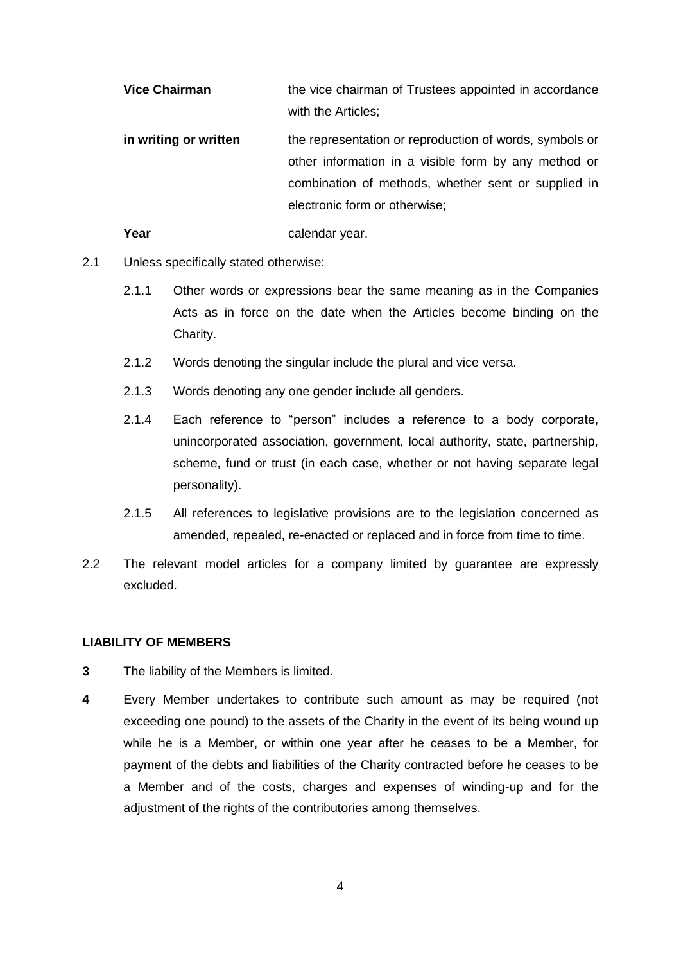| <b>Vice Chairman</b>  | the vice chairman of Trustees appointed in accordance   |
|-----------------------|---------------------------------------------------------|
|                       | with the Articles;                                      |
| in writing or written | the representation or reproduction of words, symbols or |
|                       | other information in a visible form by any method or    |
|                       | combination of methods, whether sent or supplied in     |
|                       |                                                         |

electronic form or otherwise;

**Year Calendar year.** 

- 2.1 Unless specifically stated otherwise:
	- 2.1.1 Other words or expressions bear the same meaning as in the Companies Acts as in force on the date when the Articles become binding on the Charity.
	- 2.1.2 Words denoting the singular include the plural and vice versa.
	- 2.1.3 Words denoting any one gender include all genders.
	- 2.1.4 Each reference to "person" includes a reference to a body corporate, unincorporated association, government, local authority, state, partnership, scheme, fund or trust (in each case, whether or not having separate legal personality).
	- 2.1.5 All references to legislative provisions are to the legislation concerned as amended, repealed, re-enacted or replaced and in force from time to time.
- 2.2 The relevant model articles for a company limited by guarantee are expressly excluded.

#### **LIABILITY OF MEMBERS**

- **3** The liability of the Members is limited.
- **4** Every Member undertakes to contribute such amount as may be required (not exceeding one pound) to the assets of the Charity in the event of its being wound up while he is a Member, or within one year after he ceases to be a Member, for payment of the debts and liabilities of the Charity contracted before he ceases to be a Member and of the costs, charges and expenses of winding-up and for the adjustment of the rights of the contributories among themselves.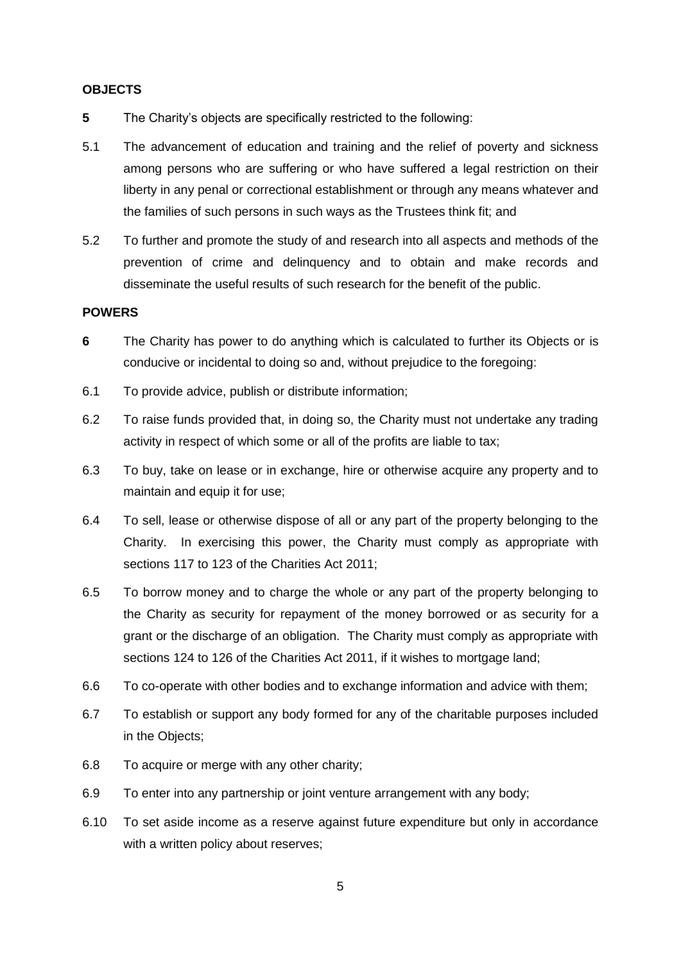### **OBJECTS**

- <span id="page-4-0"></span>**5** The Charity's objects are specifically restricted to the following:
- 5.1 The advancement of education and training and the relief of poverty and sickness among persons who are suffering or who have suffered a legal restriction on their liberty in any penal or correctional establishment or through any means whatever and the families of such persons in such ways as the Trustees think fit; and
- 5.2 To further and promote the study of and research into all aspects and methods of the prevention of crime and delinquency and to obtain and make records and disseminate the useful results of such research for the benefit of the public.

#### **POWERS**

- **6** The Charity has power to do anything which is calculated to further its Objects or is conducive or incidental to doing so and, without prejudice to the foregoing:
- 6.1 To provide advice, publish or distribute information;
- 6.2 To raise funds provided that, in doing so, the Charity must not undertake any trading activity in respect of which some or all of the profits are liable to tax;
- 6.3 To buy, take on lease or in exchange, hire or otherwise acquire any property and to maintain and equip it for use;
- 6.4 To sell, lease or otherwise dispose of all or any part of the property belonging to the Charity. In exercising this power, the Charity must comply as appropriate with sections 117 to 123 of the Charities Act 2011;
- 6.5 To borrow money and to charge the whole or any part of the property belonging to the Charity as security for repayment of the money borrowed or as security for a grant or the discharge of an obligation. The Charity must comply as appropriate with sections 124 to 126 of the Charities Act 2011, if it wishes to mortgage land;
- 6.6 To co-operate with other bodies and to exchange information and advice with them;
- 6.7 To establish or support any body formed for any of the charitable purposes included in the Objects;
- 6.8 To acquire or merge with any other charity;
- 6.9 To enter into any partnership or joint venture arrangement with any body;
- 6.10 To set aside income as a reserve against future expenditure but only in accordance with a written policy about reserves;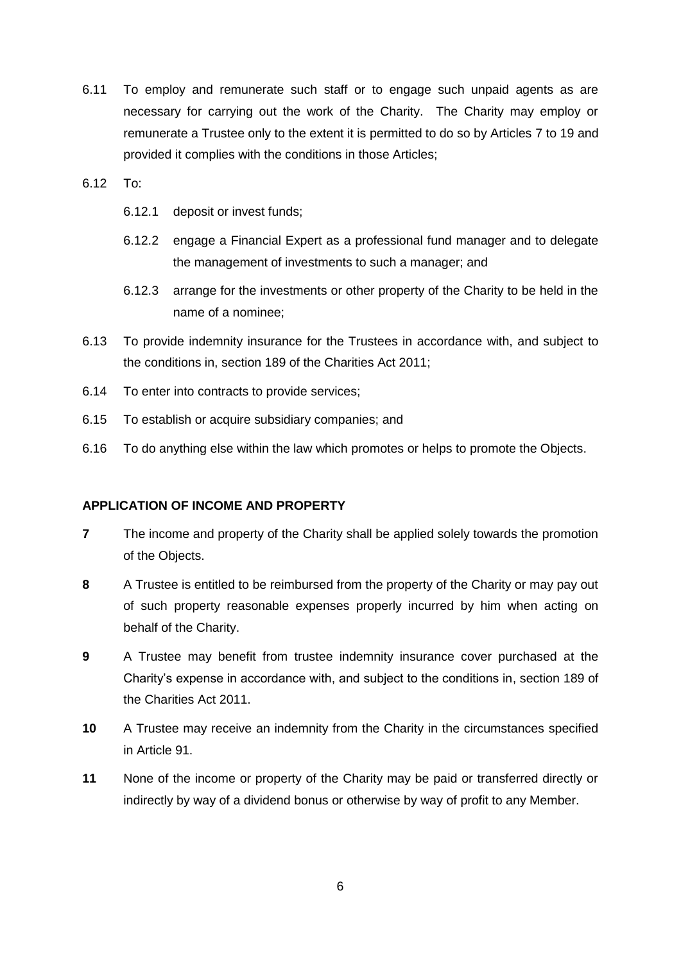- 6.11 To employ and remunerate such staff or to engage such unpaid agents as are necessary for carrying out the work of the Charity. The Charity may employ or remunerate a Trustee only to the extent it is permitted to do so by Articles [7](#page-5-0) to [19](#page-7-0) and provided it complies with the conditions in those Articles;
- 6.12 To:
	- 6.12.1 deposit or invest funds;
	- 6.12.2 engage a Financial Expert as a professional fund manager and to delegate the management of investments to such a manager; and
	- 6.12.3 arrange for the investments or other property of the Charity to be held in the name of a nominee;
- 6.13 To provide indemnity insurance for the Trustees in accordance with, and subject to the conditions in, section 189 of the Charities Act 2011;
- 6.14 To enter into contracts to provide services;
- 6.15 To establish or acquire subsidiary companies; and
- 6.16 To do anything else within the law which promotes or helps to promote the Objects.

# **APPLICATION OF INCOME AND PROPERTY**

- <span id="page-5-0"></span>**7** The income and property of the Charity shall be applied solely towards the promotion of the Objects.
- **8** A Trustee is entitled to be reimbursed from the property of the Charity or may pay out of such property reasonable expenses properly incurred by him when acting on behalf of the Charity.
- **9** A Trustee may benefit from trustee indemnity insurance cover purchased at the Charity's expense in accordance with, and subject to the conditions in, section 189 of the Charities Act 2011.
- **10** A Trustee may receive an indemnity from the Charity in the circumstances specified in Article [91.](#page-19-0)
- **11** None of the income or property of the Charity may be paid or transferred directly or indirectly by way of a dividend bonus or otherwise by way of profit to any Member.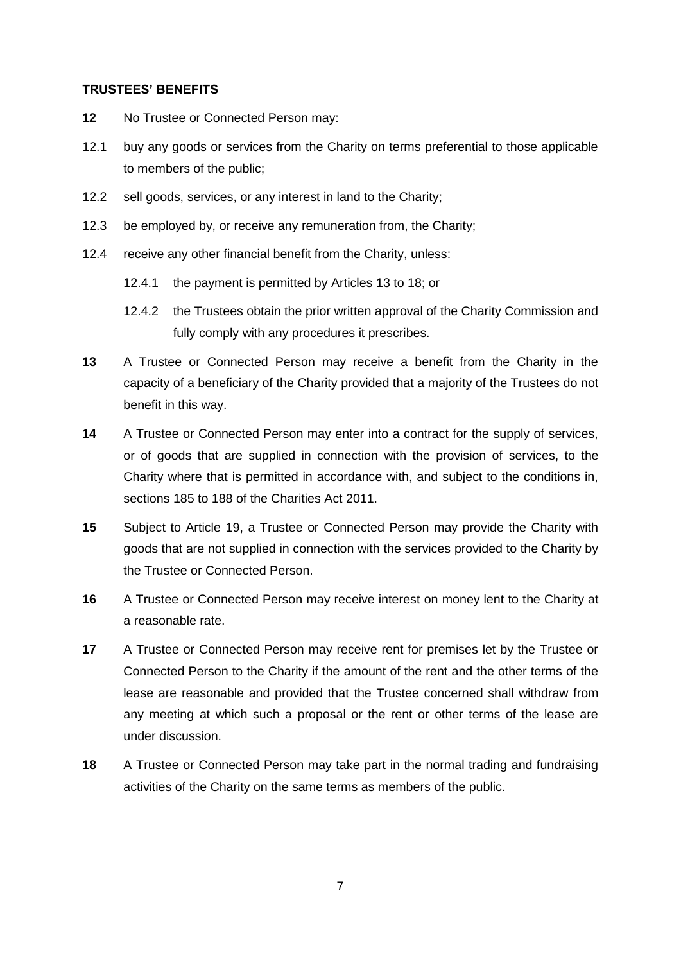### **TRUSTEES' BENEFITS**

- <span id="page-6-4"></span>**12** No Trustee or Connected Person may:
- 12.1 buy any goods or services from the Charity on terms preferential to those applicable to members of the public;
- 12.2 sell goods, services, or any interest in land to the Charity;
- 12.3 be employed by, or receive any remuneration from, the Charity;
- 12.4 receive any other financial benefit from the Charity, unless:
	- 12.4.1 the payment is permitted by Articles [13](#page-6-1) to [18;](#page-6-2) or
	- 12.4.2 the Trustees obtain the prior written approval of the Charity Commission and fully comply with any procedures it prescribes.
- <span id="page-6-1"></span>**13** A Trustee or Connected Person may receive a benefit from the Charity in the capacity of a beneficiary of the Charity provided that a majority of the Trustees do not benefit in this way.
- <span id="page-6-0"></span>**14** A Trustee or Connected Person may enter into a contract for the supply of services, or of goods that are supplied in connection with the provision of services, to the Charity where that is permitted in accordance with, and subject to the conditions in, sections 185 to 188 of the Charities Act 2011.
- <span id="page-6-3"></span>**15** Subject to Article [19,](#page-7-0) a Trustee or Connected Person may provide the Charity with goods that are not supplied in connection with the services provided to the Charity by the Trustee or Connected Person.
- **16** A Trustee or Connected Person may receive interest on money lent to the Charity at a reasonable rate.
- **17** A Trustee or Connected Person may receive rent for premises let by the Trustee or Connected Person to the Charity if the amount of the rent and the other terms of the lease are reasonable and provided that the Trustee concerned shall withdraw from any meeting at which such a proposal or the rent or other terms of the lease are under discussion.
- <span id="page-6-2"></span>**18** A Trustee or Connected Person may take part in the normal trading and fundraising activities of the Charity on the same terms as members of the public.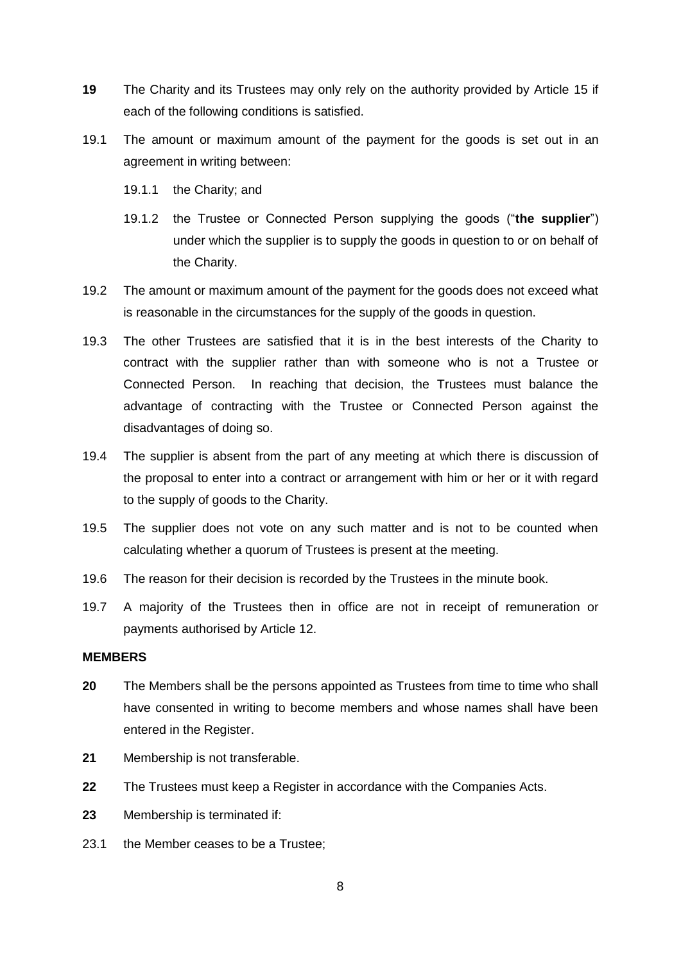- <span id="page-7-0"></span>**19** The Charity and its Trustees may only rely on the authority provided by Article [15](#page-6-3) if each of the following conditions is satisfied.
- 19.1 The amount or maximum amount of the payment for the goods is set out in an agreement in writing between:
	- 19.1.1 the Charity; and
	- 19.1.2 the Trustee or Connected Person supplying the goods ("**the supplier**") under which the supplier is to supply the goods in question to or on behalf of the Charity.
- 19.2 The amount or maximum amount of the payment for the goods does not exceed what is reasonable in the circumstances for the supply of the goods in question.
- 19.3 The other Trustees are satisfied that it is in the best interests of the Charity to contract with the supplier rather than with someone who is not a Trustee or Connected Person. In reaching that decision, the Trustees must balance the advantage of contracting with the Trustee or Connected Person against the disadvantages of doing so.
- 19.4 The supplier is absent from the part of any meeting at which there is discussion of the proposal to enter into a contract or arrangement with him or her or it with regard to the supply of goods to the Charity.
- 19.5 The supplier does not vote on any such matter and is not to be counted when calculating whether a quorum of Trustees is present at the meeting.
- 19.6 The reason for their decision is recorded by the Trustees in the minute book.
- 19.7 A majority of the Trustees then in office are not in receipt of remuneration or payments authorised by Article [12.](#page-6-4)

# **MEMBERS**

- **20** The Members shall be the persons appointed as Trustees from time to time who shall have consented in writing to become members and whose names shall have been entered in the Register.
- **21** Membership is not transferable.
- **22** The Trustees must keep a Register in accordance with the Companies Acts.
- **23** Membership is terminated if:
- 23.1 the Member ceases to be a Trustee;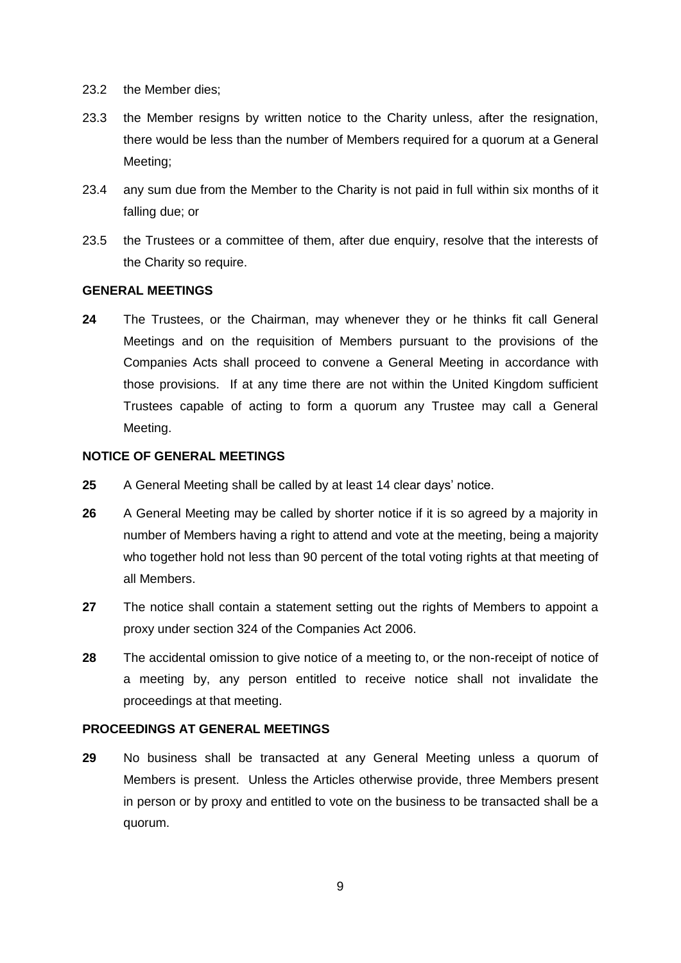- 23.2 the Member dies;
- 23.3 the Member resigns by written notice to the Charity unless, after the resignation, there would be less than the number of Members required for a quorum at a General Meeting;
- 23.4 any sum due from the Member to the Charity is not paid in full within six months of it falling due; or
- 23.5 the Trustees or a committee of them, after due enquiry, resolve that the interests of the Charity so require.

# **GENERAL MEETINGS**

**24** The Trustees, or the Chairman, may whenever they or he thinks fit call General Meetings and on the requisition of Members pursuant to the provisions of the Companies Acts shall proceed to convene a General Meeting in accordance with those provisions. If at any time there are not within the United Kingdom sufficient Trustees capable of acting to form a quorum any Trustee may call a General Meeting.

### **NOTICE OF GENERAL MEETINGS**

- **25** A General Meeting shall be called by at least 14 clear days' notice.
- **26** A General Meeting may be called by shorter notice if it is so agreed by a majority in number of Members having a right to attend and vote at the meeting, being a majority who together hold not less than 90 percent of the total voting rights at that meeting of all Members.
- **27** The notice shall contain a statement setting out the rights of Members to appoint a proxy under section 324 of the Companies Act 2006.
- **28** The accidental omission to give notice of a meeting to, or the non-receipt of notice of a meeting by, any person entitled to receive notice shall not invalidate the proceedings at that meeting.

#### **PROCEEDINGS AT GENERAL MEETINGS**

**29** No business shall be transacted at any General Meeting unless a quorum of Members is present. Unless the Articles otherwise provide, three Members present in person or by proxy and entitled to vote on the business to be transacted shall be a quorum.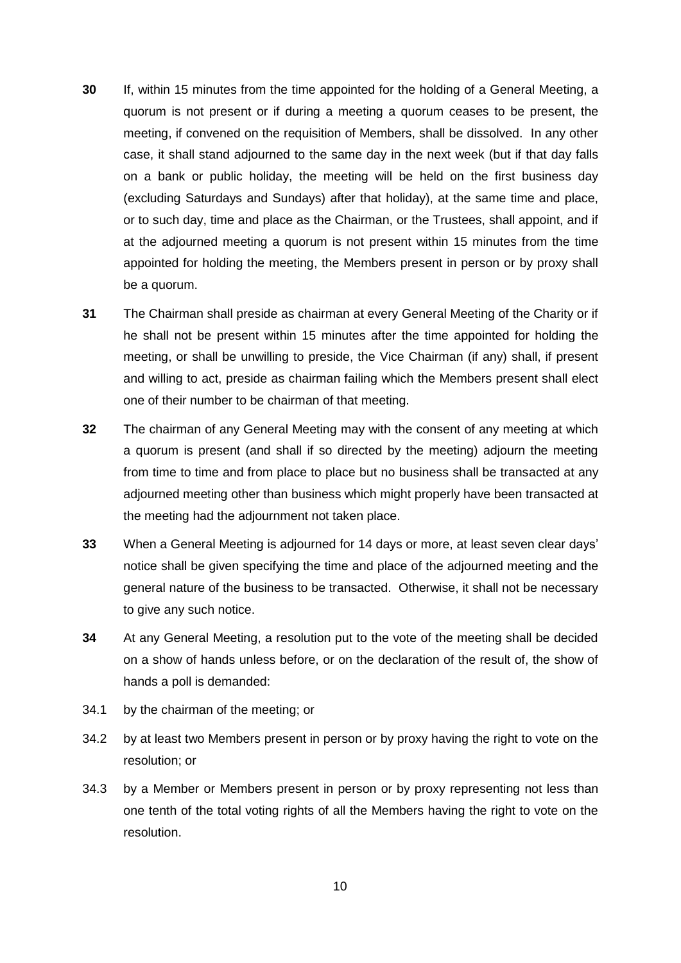- **30** If, within 15 minutes from the time appointed for the holding of a General Meeting, a quorum is not present or if during a meeting a quorum ceases to be present, the meeting, if convened on the requisition of Members, shall be dissolved. In any other case, it shall stand adjourned to the same day in the next week (but if that day falls on a bank or public holiday, the meeting will be held on the first business day (excluding Saturdays and Sundays) after that holiday), at the same time and place, or to such day, time and place as the Chairman, or the Trustees, shall appoint, and if at the adjourned meeting a quorum is not present within 15 minutes from the time appointed for holding the meeting, the Members present in person or by proxy shall be a quorum.
- **31** The Chairman shall preside as chairman at every General Meeting of the Charity or if he shall not be present within 15 minutes after the time appointed for holding the meeting, or shall be unwilling to preside, the Vice Chairman (if any) shall, if present and willing to act, preside as chairman failing which the Members present shall elect one of their number to be chairman of that meeting.
- **32** The chairman of any General Meeting may with the consent of any meeting at which a quorum is present (and shall if so directed by the meeting) adjourn the meeting from time to time and from place to place but no business shall be transacted at any adjourned meeting other than business which might properly have been transacted at the meeting had the adjournment not taken place.
- **33** When a General Meeting is adjourned for 14 days or more, at least seven clear days' notice shall be given specifying the time and place of the adjourned meeting and the general nature of the business to be transacted. Otherwise, it shall not be necessary to give any such notice.
- **34** At any General Meeting, a resolution put to the vote of the meeting shall be decided on a show of hands unless before, or on the declaration of the result of, the show of hands a poll is demanded:
- 34.1 by the chairman of the meeting; or
- 34.2 by at least two Members present in person or by proxy having the right to vote on the resolution; or
- 34.3 by a Member or Members present in person or by proxy representing not less than one tenth of the total voting rights of all the Members having the right to vote on the resolution.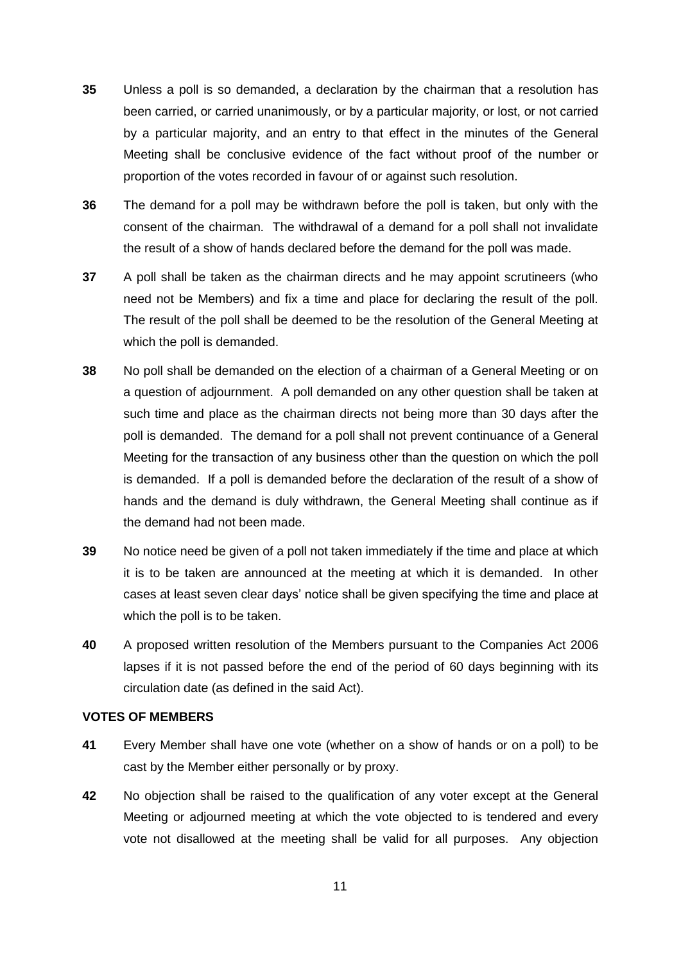- **35** Unless a poll is so demanded, a declaration by the chairman that a resolution has been carried, or carried unanimously, or by a particular majority, or lost, or not carried by a particular majority, and an entry to that effect in the minutes of the General Meeting shall be conclusive evidence of the fact without proof of the number or proportion of the votes recorded in favour of or against such resolution.
- **36** The demand for a poll may be withdrawn before the poll is taken, but only with the consent of the chairman. The withdrawal of a demand for a poll shall not invalidate the result of a show of hands declared before the demand for the poll was made.
- **37** A poll shall be taken as the chairman directs and he may appoint scrutineers (who need not be Members) and fix a time and place for declaring the result of the poll. The result of the poll shall be deemed to be the resolution of the General Meeting at which the poll is demanded.
- **38** No poll shall be demanded on the election of a chairman of a General Meeting or on a question of adjournment. A poll demanded on any other question shall be taken at such time and place as the chairman directs not being more than 30 days after the poll is demanded. The demand for a poll shall not prevent continuance of a General Meeting for the transaction of any business other than the question on which the poll is demanded. If a poll is demanded before the declaration of the result of a show of hands and the demand is duly withdrawn, the General Meeting shall continue as if the demand had not been made.
- **39** No notice need be given of a poll not taken immediately if the time and place at which it is to be taken are announced at the meeting at which it is demanded. In other cases at least seven clear days' notice shall be given specifying the time and place at which the poll is to be taken.
- **40** A proposed written resolution of the Members pursuant to the Companies Act 2006 lapses if it is not passed before the end of the period of 60 days beginning with its circulation date (as defined in the said Act).

#### **VOTES OF MEMBERS**

- **41** Every Member shall have one vote (whether on a show of hands or on a poll) to be cast by the Member either personally or by proxy.
- **42** No objection shall be raised to the qualification of any voter except at the General Meeting or adjourned meeting at which the vote objected to is tendered and every vote not disallowed at the meeting shall be valid for all purposes. Any objection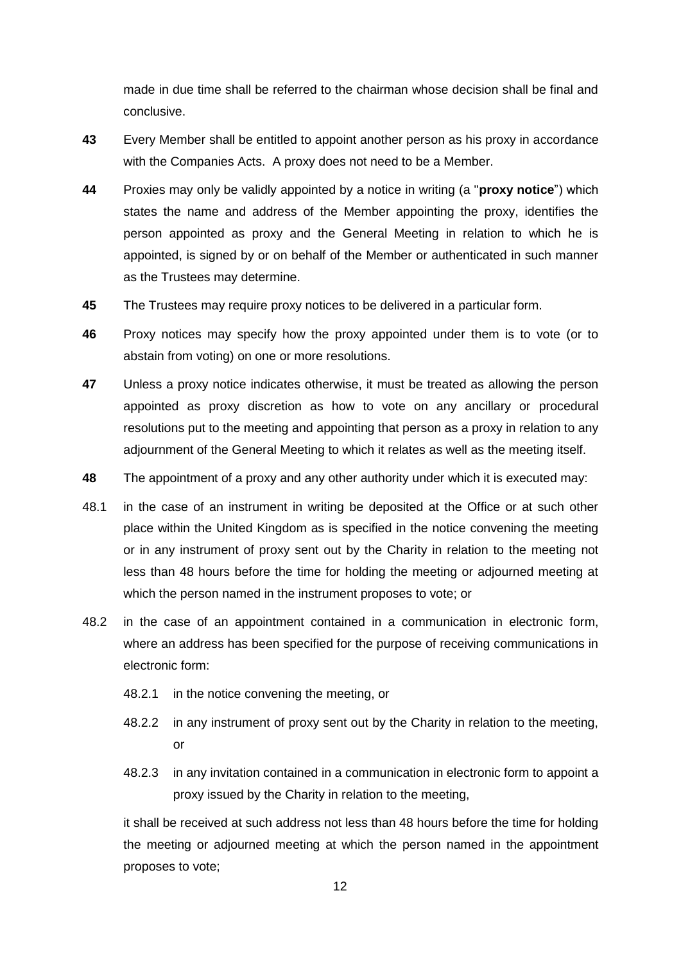made in due time shall be referred to the chairman whose decision shall be final and conclusive.

- **43** Every Member shall be entitled to appoint another person as his proxy in accordance with the Companies Acts. A proxy does not need to be a Member.
- **44** Proxies may only be validly appointed by a notice in writing (a "**proxy notice**") which states the name and address of the Member appointing the proxy, identifies the person appointed as proxy and the General Meeting in relation to which he is appointed, is signed by or on behalf of the Member or authenticated in such manner as the Trustees may determine.
- **45** The Trustees may require proxy notices to be delivered in a particular form.
- **46** Proxy notices may specify how the proxy appointed under them is to vote (or to abstain from voting) on one or more resolutions.
- **47** Unless a proxy notice indicates otherwise, it must be treated as allowing the person appointed as proxy discretion as how to vote on any ancillary or procedural resolutions put to the meeting and appointing that person as a proxy in relation to any adjournment of the General Meeting to which it relates as well as the meeting itself.
- **48** The appointment of a proxy and any other authority under which it is executed may:
- 48.1 in the case of an instrument in writing be deposited at the Office or at such other place within the United Kingdom as is specified in the notice convening the meeting or in any instrument of proxy sent out by the Charity in relation to the meeting not less than 48 hours before the time for holding the meeting or adjourned meeting at which the person named in the instrument proposes to vote; or
- 48.2 in the case of an appointment contained in a communication in electronic form, where an address has been specified for the purpose of receiving communications in electronic form:
	- 48.2.1 in the notice convening the meeting, or
	- 48.2.2 in any instrument of proxy sent out by the Charity in relation to the meeting, or
	- 48.2.3 in any invitation contained in a communication in electronic form to appoint a proxy issued by the Charity in relation to the meeting,

it shall be received at such address not less than 48 hours before the time for holding the meeting or adjourned meeting at which the person named in the appointment proposes to vote;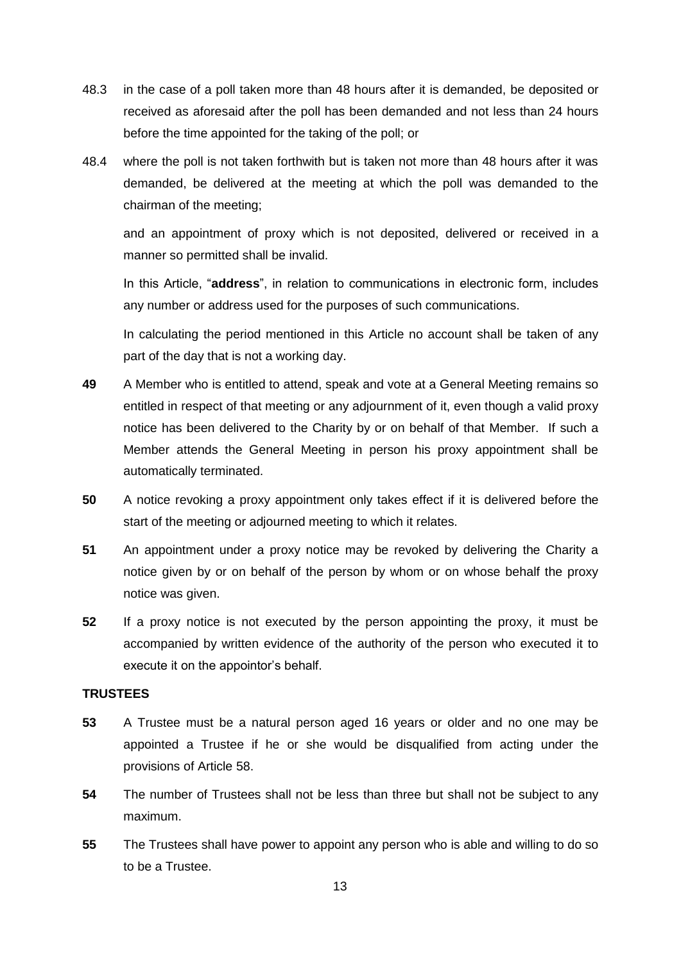- 48.3 in the case of a poll taken more than 48 hours after it is demanded, be deposited or received as aforesaid after the poll has been demanded and not less than 24 hours before the time appointed for the taking of the poll; or
- 48.4 where the poll is not taken forthwith but is taken not more than 48 hours after it was demanded, be delivered at the meeting at which the poll was demanded to the chairman of the meeting;

and an appointment of proxy which is not deposited, delivered or received in a manner so permitted shall be invalid.

In this Article, "**address**", in relation to communications in electronic form, includes any number or address used for the purposes of such communications.

In calculating the period mentioned in this Article no account shall be taken of any part of the day that is not a working day.

- **49** A Member who is entitled to attend, speak and vote at a General Meeting remains so entitled in respect of that meeting or any adjournment of it, even though a valid proxy notice has been delivered to the Charity by or on behalf of that Member. If such a Member attends the General Meeting in person his proxy appointment shall be automatically terminated.
- **50** A notice revoking a proxy appointment only takes effect if it is delivered before the start of the meeting or adjourned meeting to which it relates.
- **51** An appointment under a proxy notice may be revoked by delivering the Charity a notice given by or on behalf of the person by whom or on whose behalf the proxy notice was given.
- **52** If a proxy notice is not executed by the person appointing the proxy, it must be accompanied by written evidence of the authority of the person who executed it to execute it on the appointor's behalf.

# **TRUSTEES**

- **53** A Trustee must be a natural person aged 16 years or older and no one may be appointed a Trustee if he or she would be disqualified from acting under the provisions of Article [58.](#page-13-0)
- **54** The number of Trustees shall not be less than three but shall not be subject to any maximum.
- **55** The Trustees shall have power to appoint any person who is able and willing to do so to be a Trustee.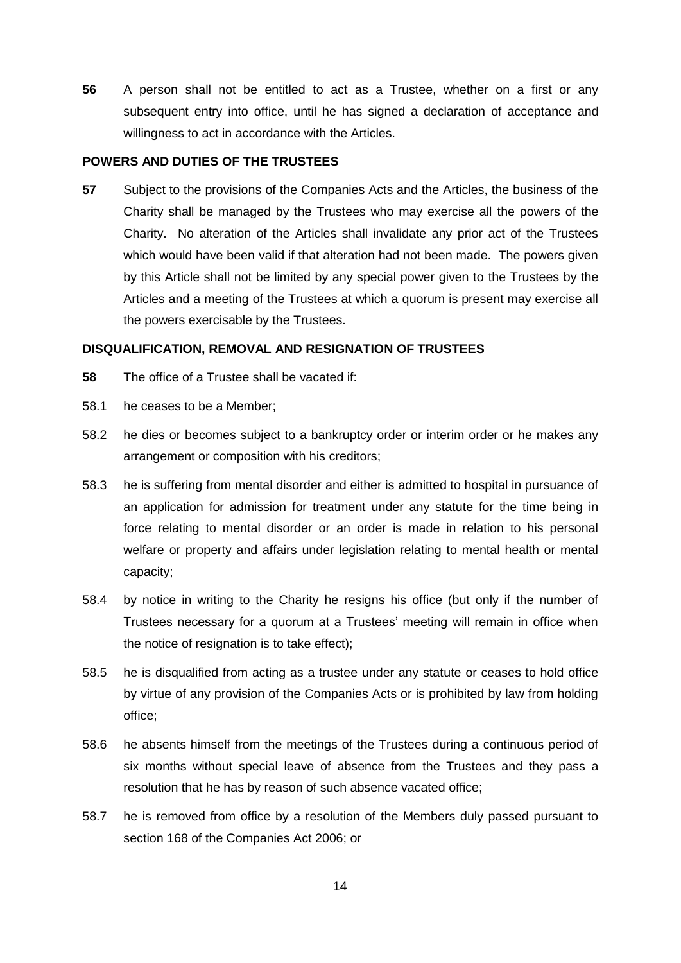**56** A person shall not be entitled to act as a Trustee, whether on a first or any subsequent entry into office, until he has signed a declaration of acceptance and willingness to act in accordance with the Articles.

### **POWERS AND DUTIES OF THE TRUSTEES**

**57** Subject to the provisions of the Companies Acts and the Articles, the business of the Charity shall be managed by the Trustees who may exercise all the powers of the Charity. No alteration of the Articles shall invalidate any prior act of the Trustees which would have been valid if that alteration had not been made. The powers given by this Article shall not be limited by any special power given to the Trustees by the Articles and a meeting of the Trustees at which a quorum is present may exercise all the powers exercisable by the Trustees.

## **DISQUALIFICATION, REMOVAL AND RESIGNATION OF TRUSTEES**

- <span id="page-13-0"></span>**58** The office of a Trustee shall be vacated if:
- 58.1 he ceases to be a Member;
- 58.2 he dies or becomes subject to a bankruptcy order or interim order or he makes any arrangement or composition with his creditors;
- 58.3 he is suffering from mental disorder and either is admitted to hospital in pursuance of an application for admission for treatment under any statute for the time being in force relating to mental disorder or an order is made in relation to his personal welfare or property and affairs under legislation relating to mental health or mental capacity;
- 58.4 by notice in writing to the Charity he resigns his office (but only if the number of Trustees necessary for a quorum at a Trustees' meeting will remain in office when the notice of resignation is to take effect);
- 58.5 he is disqualified from acting as a trustee under any statute or ceases to hold office by virtue of any provision of the Companies Acts or is prohibited by law from holding office;
- 58.6 he absents himself from the meetings of the Trustees during a continuous period of six months without special leave of absence from the Trustees and they pass a resolution that he has by reason of such absence vacated office;
- 58.7 he is removed from office by a resolution of the Members duly passed pursuant to section 168 of the Companies Act 2006; or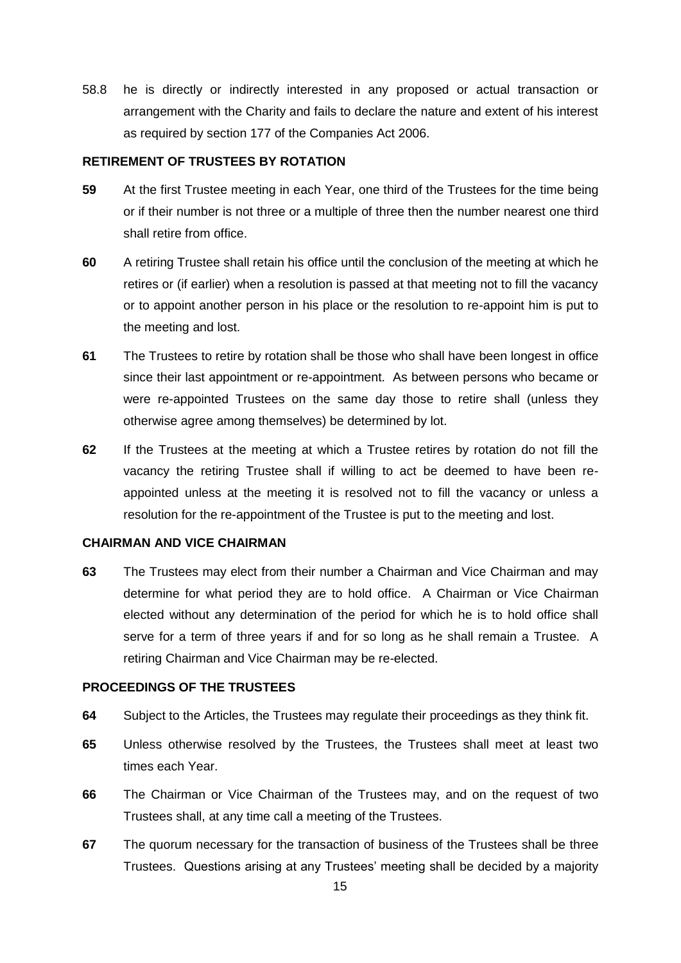58.8 he is directly or indirectly interested in any proposed or actual transaction or arrangement with the Charity and fails to declare the nature and extent of his interest as required by section 177 of the Companies Act 2006.

### **RETIREMENT OF TRUSTEES BY ROTATION**

- **59** At the first Trustee meeting in each Year, one third of the Trustees for the time being or if their number is not three or a multiple of three then the number nearest one third shall retire from office.
- **60** A retiring Trustee shall retain his office until the conclusion of the meeting at which he retires or (if earlier) when a resolution is passed at that meeting not to fill the vacancy or to appoint another person in his place or the resolution to re-appoint him is put to the meeting and lost.
- **61** The Trustees to retire by rotation shall be those who shall have been longest in office since their last appointment or re-appointment. As between persons who became or were re-appointed Trustees on the same day those to retire shall (unless they otherwise agree among themselves) be determined by lot.
- **62** If the Trustees at the meeting at which a Trustee retires by rotation do not fill the vacancy the retiring Trustee shall if willing to act be deemed to have been reappointed unless at the meeting it is resolved not to fill the vacancy or unless a resolution for the re-appointment of the Trustee is put to the meeting and lost.

### **CHAIRMAN AND VICE CHAIRMAN**

**63** The Trustees may elect from their number a Chairman and Vice Chairman and may determine for what period they are to hold office. A Chairman or Vice Chairman elected without any determination of the period for which he is to hold office shall serve for a term of three years if and for so long as he shall remain a Trustee. A retiring Chairman and Vice Chairman may be re-elected.

# **PROCEEDINGS OF THE TRUSTEES**

- **64** Subject to the Articles, the Trustees may regulate their proceedings as they think fit.
- **65** Unless otherwise resolved by the Trustees, the Trustees shall meet at least two times each Year.
- **66** The Chairman or Vice Chairman of the Trustees may, and on the request of two Trustees shall, at any time call a meeting of the Trustees.
- **67** The quorum necessary for the transaction of business of the Trustees shall be three Trustees. Questions arising at any Trustees' meeting shall be decided by a majority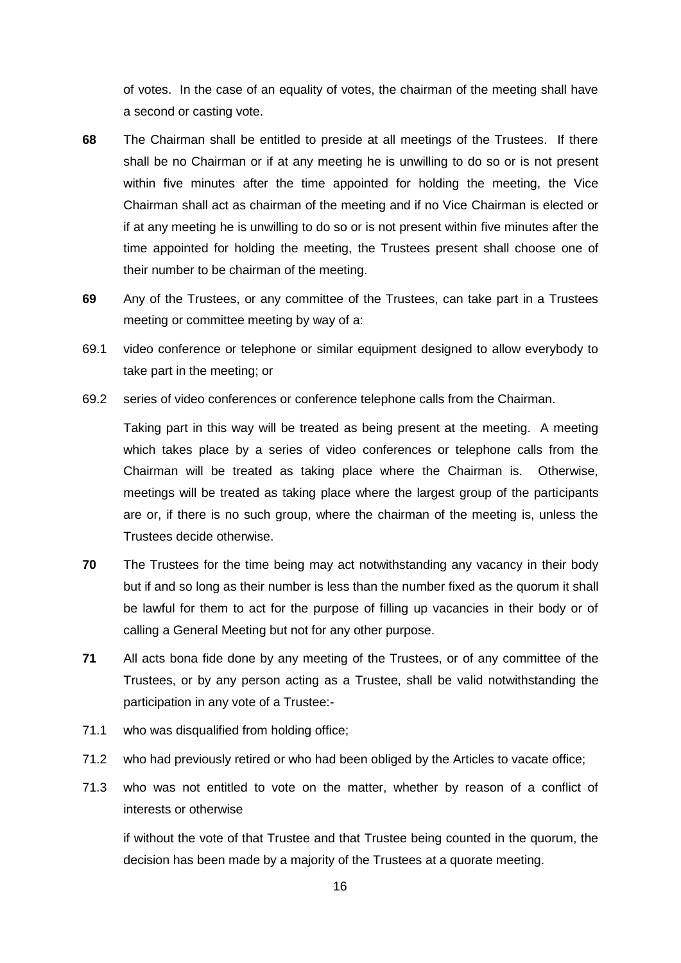of votes. In the case of an equality of votes, the chairman of the meeting shall have a second or casting vote.

- **68** The Chairman shall be entitled to preside at all meetings of the Trustees. If there shall be no Chairman or if at any meeting he is unwilling to do so or is not present within five minutes after the time appointed for holding the meeting, the Vice Chairman shall act as chairman of the meeting and if no Vice Chairman is elected or if at any meeting he is unwilling to do so or is not present within five minutes after the time appointed for holding the meeting, the Trustees present shall choose one of their number to be chairman of the meeting.
- **69** Any of the Trustees, or any committee of the Trustees, can take part in a Trustees meeting or committee meeting by way of a:
- 69.1 video conference or telephone or similar equipment designed to allow everybody to take part in the meeting; or
- 69.2 series of video conferences or conference telephone calls from the Chairman.

Taking part in this way will be treated as being present at the meeting. A meeting which takes place by a series of video conferences or telephone calls from the Chairman will be treated as taking place where the Chairman is. Otherwise, meetings will be treated as taking place where the largest group of the participants are or, if there is no such group, where the chairman of the meeting is, unless the Trustees decide otherwise.

- **70** The Trustees for the time being may act notwithstanding any vacancy in their body but if and so long as their number is less than the number fixed as the quorum it shall be lawful for them to act for the purpose of filling up vacancies in their body or of calling a General Meeting but not for any other purpose.
- <span id="page-15-0"></span>**71** All acts bona fide done by any meeting of the Trustees, or of any committee of the Trustees, or by any person acting as a Trustee, shall be valid notwithstanding the participation in any vote of a Trustee:-
- 71.1 who was disqualified from holding office;
- 71.2 who had previously retired or who had been obliged by the Articles to vacate office;
- 71.3 who was not entitled to vote on the matter, whether by reason of a conflict of interests or otherwise

if without the vote of that Trustee and that Trustee being counted in the quorum, the decision has been made by a majority of the Trustees at a quorate meeting.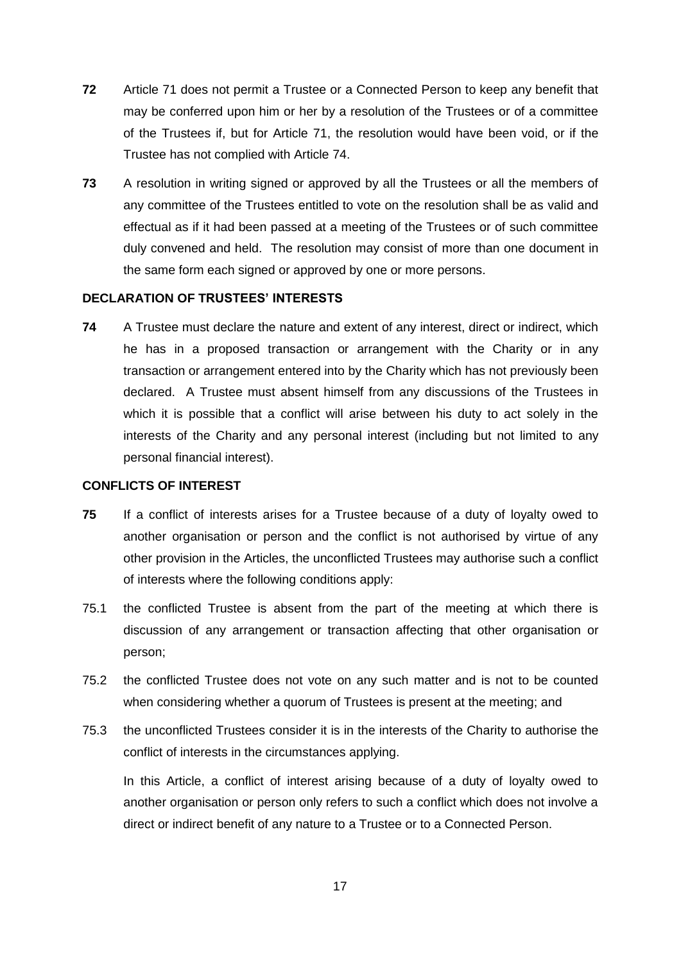- **72** Article [71](#page-15-0) does not permit a Trustee or a Connected Person to keep any benefit that may be conferred upon him or her by a resolution of the Trustees or of a committee of the Trustees if, but for Article [71,](#page-15-0) the resolution would have been void, or if the Trustee has not complied with Article [74.](#page-16-0)
- **73** A resolution in writing signed or approved by all the Trustees or all the members of any committee of the Trustees entitled to vote on the resolution shall be as valid and effectual as if it had been passed at a meeting of the Trustees or of such committee duly convened and held. The resolution may consist of more than one document in the same form each signed or approved by one or more persons.

# **DECLARATION OF TRUSTEES' INTERESTS**

<span id="page-16-0"></span>**74** A Trustee must declare the nature and extent of any interest, direct or indirect, which he has in a proposed transaction or arrangement with the Charity or in any transaction or arrangement entered into by the Charity which has not previously been declared. A Trustee must absent himself from any discussions of the Trustees in which it is possible that a conflict will arise between his duty to act solely in the interests of the Charity and any personal interest (including but not limited to any personal financial interest).

## **CONFLICTS OF INTEREST**

- **75** If a conflict of interests arises for a Trustee because of a duty of loyalty owed to another organisation or person and the conflict is not authorised by virtue of any other provision in the Articles, the unconflicted Trustees may authorise such a conflict of interests where the following conditions apply:
- 75.1 the conflicted Trustee is absent from the part of the meeting at which there is discussion of any arrangement or transaction affecting that other organisation or person;
- 75.2 the conflicted Trustee does not vote on any such matter and is not to be counted when considering whether a quorum of Trustees is present at the meeting; and
- 75.3 the unconflicted Trustees consider it is in the interests of the Charity to authorise the conflict of interests in the circumstances applying.

In this Article, a conflict of interest arising because of a duty of loyalty owed to another organisation or person only refers to such a conflict which does not involve a direct or indirect benefit of any nature to a Trustee or to a Connected Person.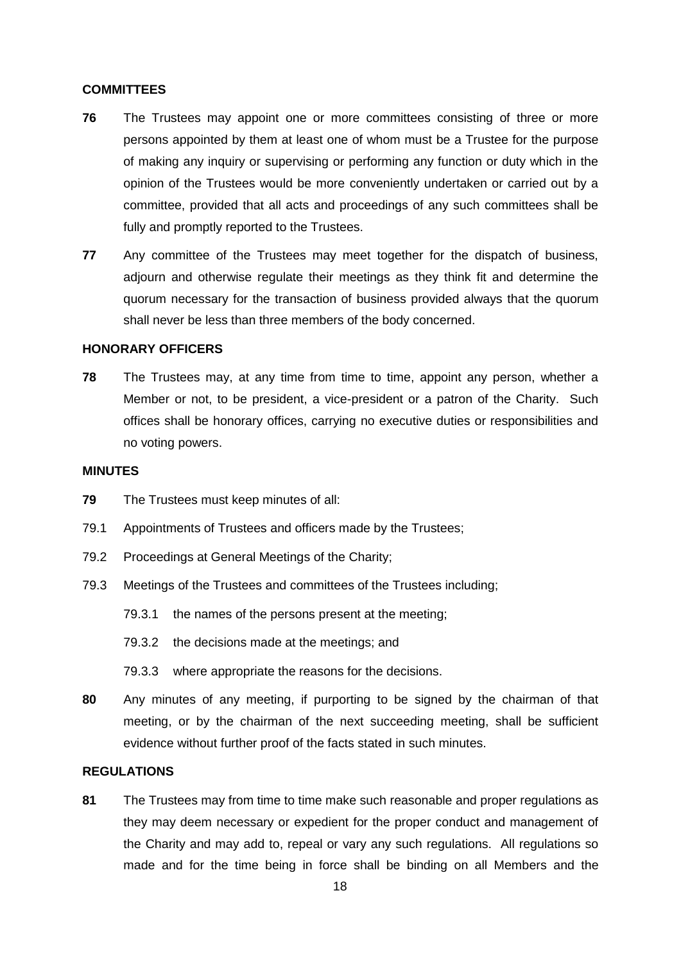## **COMMITTEES**

- **76** The Trustees may appoint one or more committees consisting of three or more persons appointed by them at least one of whom must be a Trustee for the purpose of making any inquiry or supervising or performing any function or duty which in the opinion of the Trustees would be more conveniently undertaken or carried out by a committee, provided that all acts and proceedings of any such committees shall be fully and promptly reported to the Trustees.
- **77** Any committee of the Trustees may meet together for the dispatch of business, adjourn and otherwise regulate their meetings as they think fit and determine the quorum necessary for the transaction of business provided always that the quorum shall never be less than three members of the body concerned.

## **HONORARY OFFICERS**

**78** The Trustees may, at any time from time to time, appoint any person, whether a Member or not, to be president, a vice-president or a patron of the Charity. Such offices shall be honorary offices, carrying no executive duties or responsibilities and no voting powers.

# **MINUTES**

- **79** The Trustees must keep minutes of all:
- 79.1 Appointments of Trustees and officers made by the Trustees;
- 79.2 Proceedings at General Meetings of the Charity;
- 79.3 Meetings of the Trustees and committees of the Trustees including;
	- 79.3.1 the names of the persons present at the meeting;
	- 79.3.2 the decisions made at the meetings; and
	- 79.3.3 where appropriate the reasons for the decisions.
- **80** Any minutes of any meeting, if purporting to be signed by the chairman of that meeting, or by the chairman of the next succeeding meeting, shall be sufficient evidence without further proof of the facts stated in such minutes.

## **REGULATIONS**

<span id="page-17-0"></span>**81** The Trustees may from time to time make such reasonable and proper regulations as they may deem necessary or expedient for the proper conduct and management of the Charity and may add to, repeal or vary any such regulations. All regulations so made and for the time being in force shall be binding on all Members and the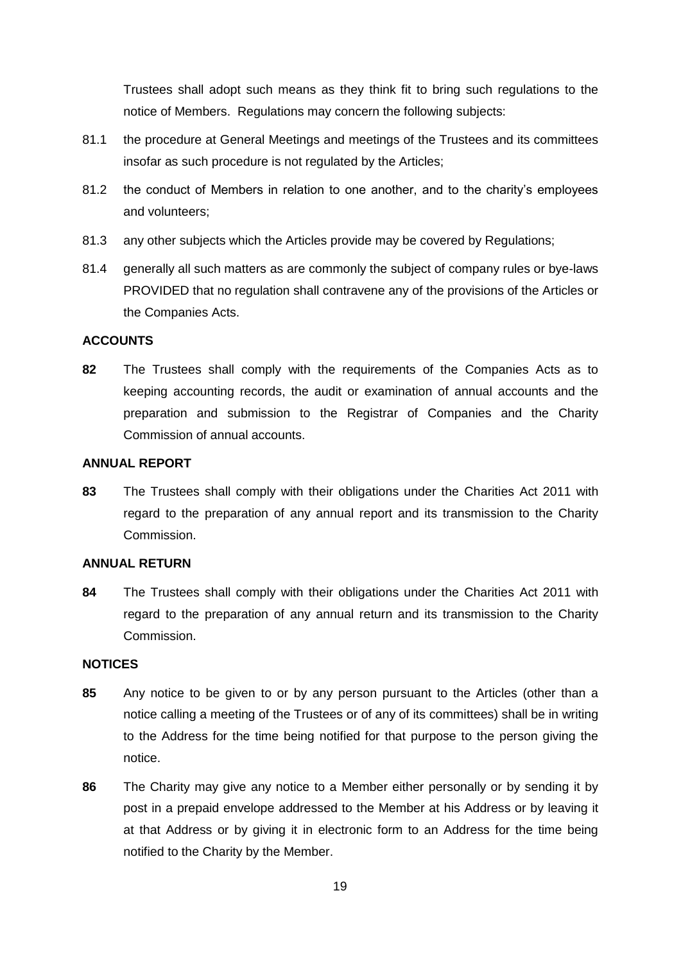Trustees shall adopt such means as they think fit to bring such regulations to the notice of Members. Regulations may concern the following subjects:

- 81.1 the procedure at General Meetings and meetings of the Trustees and its committees insofar as such procedure is not regulated by the Articles;
- 81.2 the conduct of Members in relation to one another, and to the charity's employees and volunteers;
- 81.3 any other subjects which the Articles provide may be covered by Regulations;
- 81.4 generally all such matters as are commonly the subject of company rules or bye-laws PROVIDED that no regulation shall contravene any of the provisions of the Articles or the Companies Acts.

### **ACCOUNTS**

**82** The Trustees shall comply with the requirements of the Companies Acts as to keeping accounting records, the audit or examination of annual accounts and the preparation and submission to the Registrar of Companies and the Charity Commission of annual accounts.

#### **ANNUAL REPORT**

**83** The Trustees shall comply with their obligations under the Charities Act 2011 with regard to the preparation of any annual report and its transmission to the Charity Commission.

# **ANNUAL RETURN**

**84** The Trustees shall comply with their obligations under the Charities Act 2011 with regard to the preparation of any annual return and its transmission to the Charity Commission.

### **NOTICES**

- **85** Any notice to be given to or by any person pursuant to the Articles (other than a notice calling a meeting of the Trustees or of any of its committees) shall be in writing to the Address for the time being notified for that purpose to the person giving the notice.
- **86** The Charity may give any notice to a Member either personally or by sending it by post in a prepaid envelope addressed to the Member at his Address or by leaving it at that Address or by giving it in electronic form to an Address for the time being notified to the Charity by the Member.